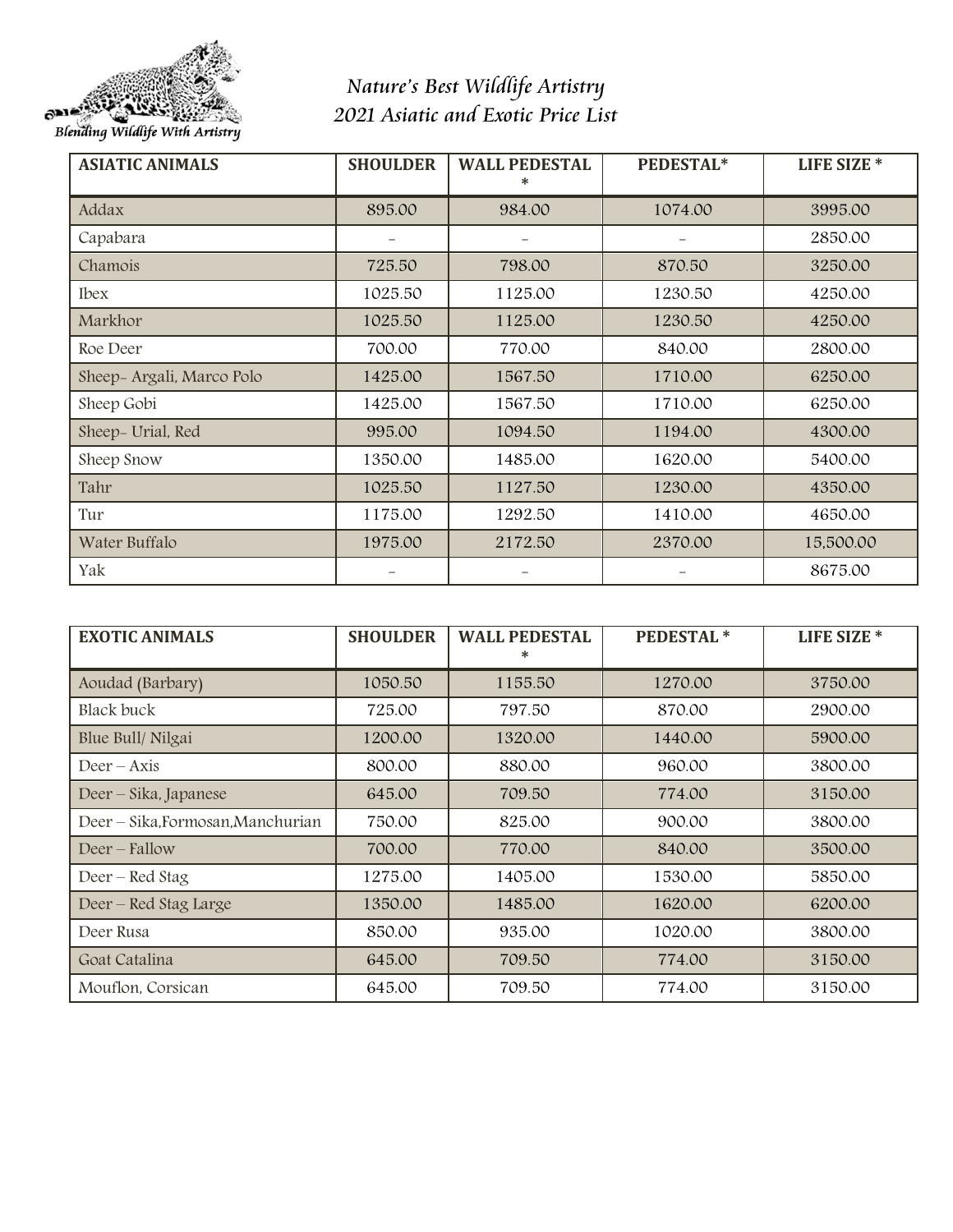

## *Nature's Best Wildlife Artistry 2021 Asiatic and Exotic Price List*

| <b>ASIATIC ANIMALS</b>    | <b>SHOULDER</b> | <b>WALL PEDESTAL</b><br>∗ | PEDESTAL* | <b>LIFE SIZE *</b> |
|---------------------------|-----------------|---------------------------|-----------|--------------------|
| Addax                     | 895.00          | 984.00                    | 1074.00   | 3995.00            |
| Capabara                  |                 |                           |           | 2850.00            |
| Chamois                   | 725.50          | 798.00                    | 870.50    | 3250.00            |
| <b>Ibex</b>               | 1025.50         | 1125.00                   | 1230.50   | 4250.00            |
| Markhor                   | 1025.50         | 1125.00                   | 1230.50   | 4250.00            |
| Roe Deer                  | 700.00          | 770.00                    | 840.00    | 2800.00            |
| Sheep- Argali, Marco Polo | 1425.00         | 1567.50                   | 1710.00   | 6250.00            |
| Sheep Gobi                | 1425.00         | 1567.50                   | 1710.00   | 6250.00            |
| Sheep- Urial, Red         | 995.00          | 1094.50                   | 1194.00   | 4300.00            |
| Sheep Snow                | 1350.00         | 1485.00                   | 1620.00   | 5400.00            |
| Tahr                      | 1025.50         | 1127.50                   | 1230.00   | 4350.00            |
| Tur                       | 1175.00         | 1292.50                   | 1410.00   | 4650.00            |
| Water Buffalo             | 1975.00         | 2172.50                   | 2370.00   | 15,500.00          |
| Yak                       |                 |                           |           | 8675.00            |

| <b>EXOTIC ANIMALS</b>             | <b>SHOULDER</b> | <b>WALL PEDESTAL</b><br>∗ | <b>PEDESTAL*</b> | LIFE SIZE <sup>*</sup> |
|-----------------------------------|-----------------|---------------------------|------------------|------------------------|
| Aoudad (Barbary)                  | 1050.50         | 1155.50                   | 1270.00          | 3750.00                |
| Black buck                        | 725.00          | 797.50                    | 870.00           | 2900.00                |
| Blue Bull/Nilgai                  | 1200.00         | 1320.00                   | 1440.00          | 5900.00                |
| $Deer - Axis$                     | 800.00          | 880.00                    | 960.00           | 3800.00                |
| Deer – Sika, Japanese             | 645.00          | 709.50                    | 774.00           | 3150.00                |
| Deer – Sika, Formosan, Manchurian | 750.00          | 825.00                    | 900.00           | 3800.00                |
| Deer – Fallow                     | 700.00          | 770.00                    | 840.00           | 3500.00                |
| Deer – Red Stag                   | 1275.00         | 1405.00                   | 1530.00          | 5850.00                |
| Deer - Red Stag Large             | 1350.00         | 1485.00                   | 1620.00          | 6200.00                |
| Deer Rusa                         | 850.00          | 935.00                    | 1020.00          | 3800.00                |
| Goat Catalina                     | 645.00          | 709.50                    | 774.00           | 3150.00                |
| Mouflon, Corsican                 | 645.00          | 709.50                    | 774.00           | 3150.00                |